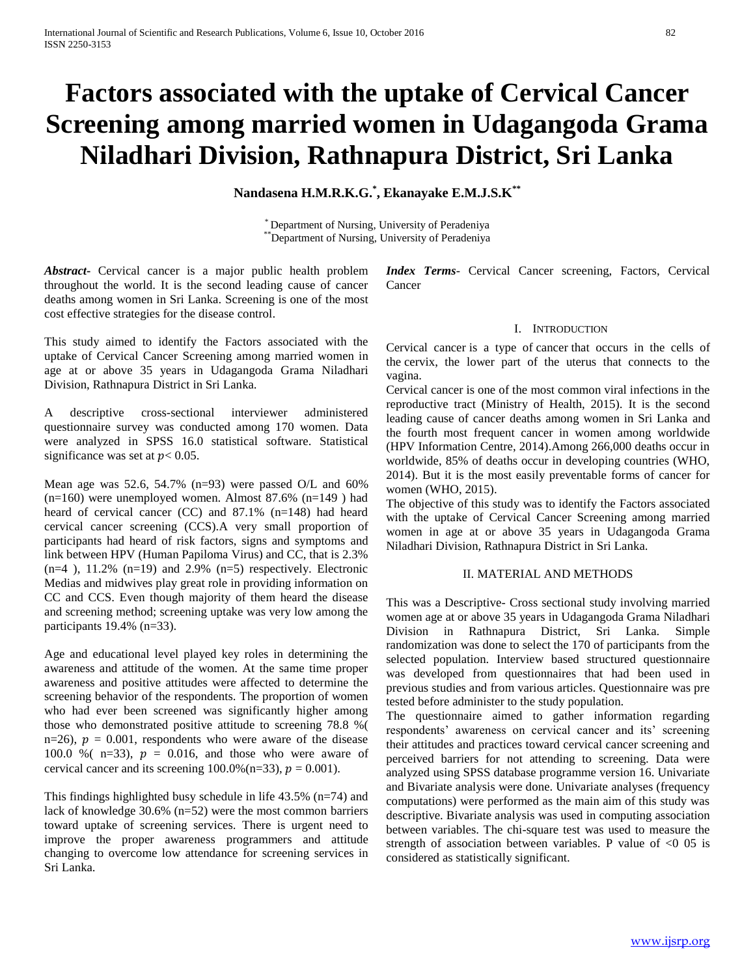# **Factors associated with the uptake of Cervical Cancer Screening among married women in Udagangoda Grama Niladhari Division, Rathnapura District, Sri Lanka**

**Nandasena H.M.R.K.G.\* , Ekanayake E.M.J.S.K\*\***

\* Department of Nursing, University of Peradeniya \*\*Department of Nursing, University of Peradeniya

*Abstract***-** Cervical cancer is a major public health problem throughout the world. It is the second leading cause of cancer deaths among women in Sri Lanka. Screening is one of the most cost effective strategies for the disease control.

This study aimed to identify the Factors associated with the uptake of Cervical Cancer Screening among married women in age at or above 35 years in Udagangoda Grama Niladhari Division, Rathnapura District in Sri Lanka.

A descriptive cross-sectional interviewer administered questionnaire survey was conducted among 170 women. Data were analyzed in SPSS 16.0 statistical software. Statistical significance was set at  $p < 0.05$ .

Mean age was 52.6, 54.7% (n=93) were passed O/L and  $60\%$  $(n=160)$  were unemployed women. Almost 87.6%  $(n=149)$  had heard of cervical cancer (CC) and 87.1% (n=148) had heard cervical cancer screening (CCS).A very small proportion of participants had heard of risk factors, signs and symptoms and link between HPV (Human Papiloma Virus) and CC, that is 2.3%  $(n=4)$ , 11.2%  $(n=19)$  and 2.9%  $(n=5)$  respectively. Electronic Medias and midwives play great role in providing information on CC and CCS. Even though majority of them heard the disease and screening method; screening uptake was very low among the participants 19.4% (n=33).

Age and educational level played key roles in determining the awareness and attitude of the women. At the same time proper awareness and positive attitudes were affected to determine the screening behavior of the respondents. The proportion of women who had ever been screened was significantly higher among those who demonstrated positive attitude to screening 78.8 %( n=26),  $p = 0.001$ , respondents who were aware of the disease 100.0 % ( $n=33$ ),  $p = 0.016$ , and those who were aware of cervical cancer and its screening  $100.0\%$  (n=33),  $p = 0.001$ ).

This findings highlighted busy schedule in life  $43.5\%$  (n=74) and lack of knowledge 30.6% (n=52) were the most common barriers toward uptake of screening services. There is urgent need to improve the proper awareness programmers and attitude changing to overcome low attendance for screening services in Sri Lanka.

*Index Terms*- Cervical Cancer screening, Factors, Cervical Cancer

# I. INTRODUCTION

Cervical cancer is a type of cancer that occurs in the cells of the cervix, the lower part of the uterus that connects to the vagina.

Cervical cancer is one of the most common viral infections in the reproductive tract (Ministry of Health, 2015). It is the second leading cause of cancer deaths among women in Sri Lanka and the fourth most frequent cancer in women among worldwide (HPV Information Centre, 2014).Among 266,000 deaths occur in worldwide, 85% of deaths occur in developing countries (WHO, 2014). But it is the most easily preventable forms of cancer for women (WHO, 2015).

The objective of this study was to identify the Factors associated with the uptake of Cervical Cancer Screening among married women in age at or above 35 years in Udagangoda Grama Niladhari Division, Rathnapura District in Sri Lanka.

## II. MATERIAL AND METHODS

This was a Descriptive- Cross sectional study involving married women age at or above 35 years in Udagangoda Grama Niladhari Division in Rathnapura District, Sri Lanka. Simple randomization was done to select the 170 of participants from the selected population. Interview based structured questionnaire was developed from questionnaires that had been used in previous studies and from various articles. Questionnaire was pre tested before administer to the study population.

The questionnaire aimed to gather information regarding respondents' awareness on cervical cancer and its' screening their attitudes and practices toward cervical cancer screening and perceived barriers for not attending to screening. Data were analyzed using SPSS database programme version 16. Univariate and Bivariate analysis were done. Univariate analyses (frequency computations) were performed as the main aim of this study was descriptive. Bivariate analysis was used in computing association between variables. The chi-square test was used to measure the strength of association between variables. P value of  $\leq 0.05$  is considered as statistically significant.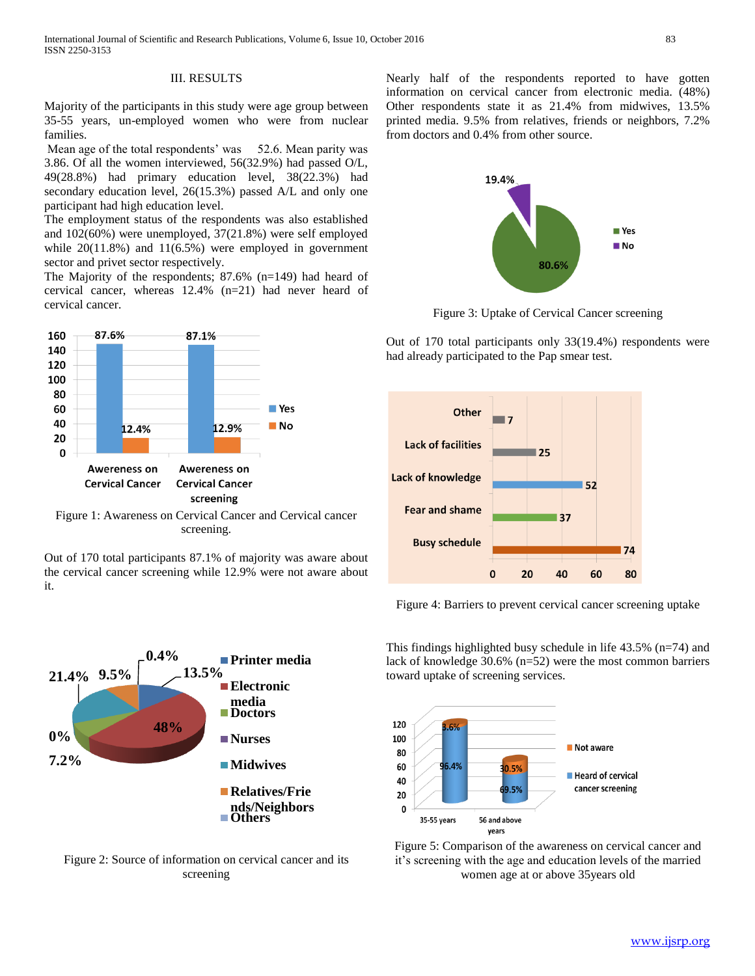# III. RESULTS

Majority of the participants in this study were age group between 35-55 years, un-employed women who were from nuclear families.

Mean age of the total respondents' was 52.6. Mean parity was 3.86. Of all the women interviewed, 56(32.9%) had passed O/L, 49(28.8%) had primary education level, 38(22.3%) had secondary education level, 26(15.3%) passed A/L and only one participant had high education level.

The employment status of the respondents was also established and 102(60%) were unemployed, 37(21.8%) were self employed while  $20(11.8%)$  and  $11(6.5%)$  were employed in government sector and privet sector respectively.

The Majority of the respondents; 87.6% (n=149) had heard of cervical cancer, whereas 12.4% (n=21) had never heard of cervical cancer.



Figure 1: Awareness on Cervical Cancer and Cervical cancer screening.

Out of 170 total participants 87.1% of majority was aware about the cervical cancer screening while 12.9% were not aware about it.



Figure 2: Source of information on cervical cancer and its screening

Nearly half of the respondents reported to have gotten information on cervical cancer from electronic media. (48%) Other respondents state it as 21.4% from midwives, 13.5% printed media. 9.5% from relatives, friends or neighbors, 7.2% from doctors and 0.4% from other source.



Figure 3: Uptake of Cervical Cancer screening

Out of 170 total participants only 33(19.4%) respondents were had already participated to the Pap smear test.



Figure 4: Barriers to prevent cervical cancer screening uptake

This findings highlighted busy schedule in life 43.5% (n=74) and lack of knowledge 30.6% (n=52) were the most common barriers toward uptake of screening services.



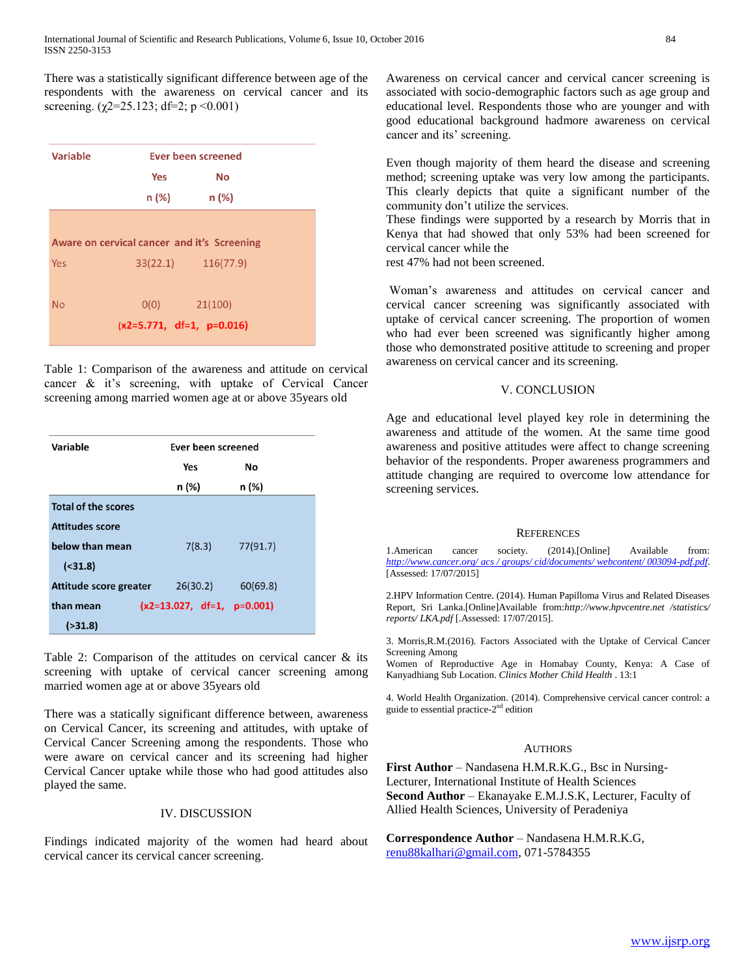There was a statistically significant difference between age of the respondents with the awareness on cervical cancer and its screening. ( $\chi$ 2=25.123; df=2; p <0.001)

| Ever been screened          |                                             |  |  |
|-----------------------------|---------------------------------------------|--|--|
| Yes                         | No                                          |  |  |
| n (%)                       | n (%)                                       |  |  |
|                             |                                             |  |  |
|                             | Aware on cervical cancer and it's Screening |  |  |
|                             | 33(22.1) 116(77.9)                          |  |  |
|                             |                                             |  |  |
| O(0)                        | 21(100)                                     |  |  |
| $(x2=5.771, df=1, p=0.016)$ |                                             |  |  |
|                             |                                             |  |  |

Table 1: Comparison of the awareness and attitude on cervical cancer & it's screening, with uptake of Cervical Cancer screening among married women age at or above 35years old

| Variable                   |                              | Ever been screened |  |  |
|----------------------------|------------------------------|--------------------|--|--|
|                            | Yes                          | Νo                 |  |  |
|                            | n (%)                        | n (%)              |  |  |
| <b>Total of the scores</b> |                              |                    |  |  |
| Attitudes score            |                              |                    |  |  |
| below than mean            | 7(8.3)                       | 77(91.7)           |  |  |
| ( <b>31.8</b> )            |                              |                    |  |  |
| Attitude score greater     | 26(30.2)                     | 60(69.8)           |  |  |
| than mean                  | $(x2=13.027, df=1, p=0.001)$ |                    |  |  |
| ( > 31.8)                  |                              |                    |  |  |

Table 2: Comparison of the attitudes on cervical cancer & its screening with uptake of cervical cancer screening among married women age at or above 35years old

There was a statically significant difference between, awareness on Cervical Cancer, its screening and attitudes, with uptake of Cervical Cancer Screening among the respondents. Those who were aware on cervical cancer and its screening had higher Cervical Cancer uptake while those who had good attitudes also played the same.

# IV. DISCUSSION

Findings indicated majority of the women had heard about cervical cancer its cervical cancer screening.

Awareness on cervical cancer and cervical cancer screening is associated with socio-demographic factors such as age group and educational level. Respondents those who are younger and with good educational background hadmore awareness on cervical cancer and its' screening.

Even though majority of them heard the disease and screening method; screening uptake was very low among the participants. This clearly depicts that quite a significant number of the community don't utilize the services.

These findings were supported by a research by Morris that in Kenya that had showed that only 53% had been screened for cervical cancer while the

rest 47% had not been screened.

Woman's awareness and attitudes on cervical cancer and cervical cancer screening was significantly associated with uptake of cervical cancer screening. The proportion of women who had ever been screened was significantly higher among those who demonstrated positive attitude to screening and proper awareness on cervical cancer and its screening.

# V. CONCLUSION

Age and educational level played key role in determining the awareness and attitude of the women. At the same time good awareness and positive attitudes were affect to change screening behavior of the respondents. Proper awareness programmers and attitude changing are required to overcome low attendance for screening services.

### **REFERENCES**

1.American cancer society. (2014).[Online] Available from: *[http://www.cancer.org/ acs](http://www.cancer.org/%20acs%20/%20groups/%20cid/documents/%20webcontent/%20003094-pdf.pdf) [/ groups/ cid/documents/ webcontent/ 003094-pdf.pdf](http://www.cancer.org/%20acs%20/%20groups/%20cid/documents/%20webcontent/%20003094-pdf.pdf)*. [Assessed: 17/07/2015]

2.HPV Information Centre. (2014). Human Papilloma Virus and Related Diseases Report, Sri Lanka.[Online]Available from:*http://www.hpvcentre.net /statistics/ reports/ LKA.pdf* [.Assessed: 17/07/2015].

3. Morris,R.M.(2016). Factors Associated with the Uptake of Cervical Cancer Screening Among

Women of Reproductive Age in Homabay County, Kenya: A Case of Kanyadhiang Sub Location. *Clinics Mother Child Health* . 13:1

4. World Health Organization. (2014). Comprehensive cervical cancer control: a guide to essential practice-2<sup>nd</sup> edition

### **AUTHORS**

**First Author** – Nandasena H.M.R.K.G., Bsc in Nursing-Lecturer, International Institute of Health Sciences **Second Author** – Ekanayake E.M.J.S.K, Lecturer, Faculty of Allied Health Sciences, University of Peradeniya

**Correspondence Author** – Nandasena H.M.R.K.G, [renu88kalhari@gmail.com,](mailto:renu88kalhari@gmail.com) 071-5784355